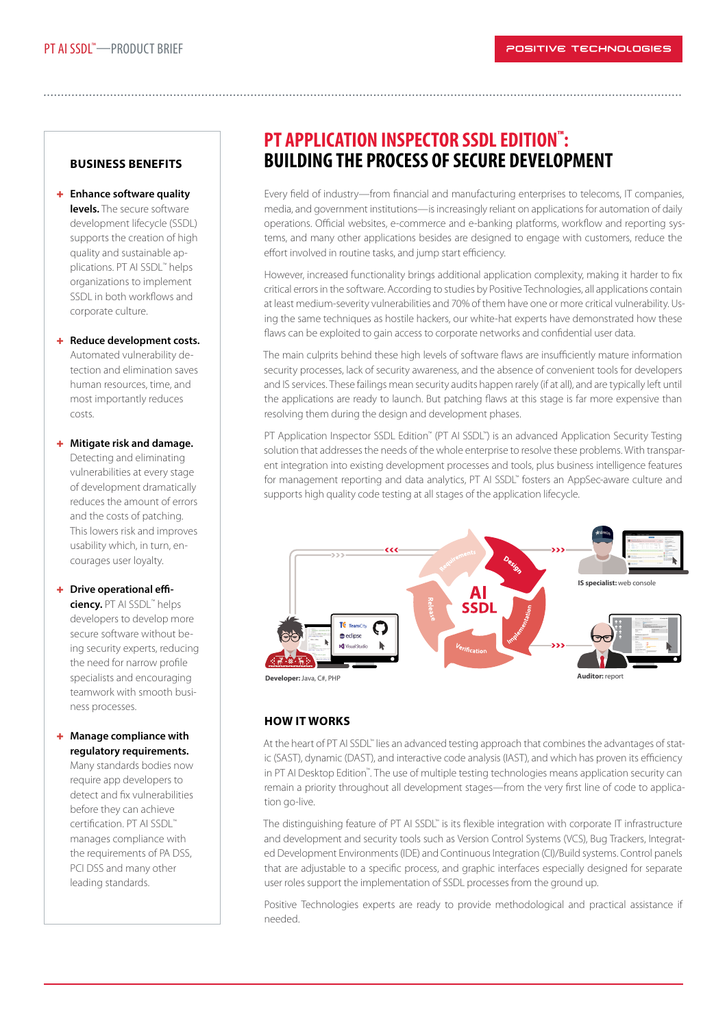## **BUSINESS BENEFITS**

## **Enhance software quality levels.** The secure software development lifecycle (SSDL) supports the creation of high quality and sustainable applications. PT AI SSDL™ helps organizations to implement SSDL in both workflows and corporate culture.

## **+** Reduce development costs. Automated vulnerability detection and elimination saves human resources, time, and most importantly reduces costs.

### **Mitigate risk and damage.**

Detecting and eliminating vulnerabilities at every stage of development dramatically reduces the amount of errors and the costs of patching. This lowers risk and improves usability which, in turn, encourages user loyalty.

### **+** Drive operational effi-

**ciency.** PT AI SSDL™ helps developers to develop more secure software without being security experts, reducing the need for narrow profile specialists and encouraging teamwork with smooth business processes.

### **Manage compliance with regulatory requirements.**

Many standards bodies now require app developers to detect and fix vulnerabilities before they can achieve certification. PT AI SSDL™ manages compliance with the requirements of PA DSS, PCI DSS and many other leading standards.

# **PT APPLICATION INSPECTOR SSDL EDITION™ : BUILDING THE PROCESS OF SECURE DEVELOPMENT**

Every field of industry—from financial and manufacturing enterprises to telecoms, IT companies, media, and government institutions—is increasingly reliant on applications for automation of daily operations. Official websites, e-commerce and e-banking platforms, workflow and reporting systems, and many other applications besides are designed to engage with customers, reduce the effort involved in routine tasks, and jump start efficiency.

However, increased functionality brings additional application complexity, making it harder to fix critical errors in the software. According to studies by Positive Technologies, all applications contain at least medium-severity vulnerabilities and 70% of them have one or more critical vulnerability. Using the same techniques as hostile hackers, our white-hat experts have demonstrated how these flaws can be exploited to gain access to corporate networks and confidential user data.

The main culprits behind these high levels of software flaws are insufficiently mature information security processes, lack of security awareness, and the absence of convenient tools for developers and IS services. These failings mean security audits happen rarely (if at all), and are typically left until the applications are ready to launch. But patching flaws at this stage is far more expensive than resolving them during the design and development phases.

PT Application Inspector SSDL Edition™ (PT AI SSDL™) is an advanced Application Security Testing solution that addresses the needs of the whole enterprise to resolve these problems. With transparent integration into existing development processes and tools, plus business intelligence features for management reporting and data analytics, PT AI SSDL™ fosters an AppSec-aware culture and supports high quality code testing at all stages of the application lifecycle.



# **HOW IT WORKS**

At the heart of PT AI SSDL™ lies an advanced testing approach that combines the advantages of static (SAST), dynamic (DAST), and interactive code analysis (IAST), and which has proven its efficiency in PT AI Desktop Edition™. The use of multiple testing technologies means application security can remain a priority throughout all development stages—from the very first line of code to application go-live.

The distinguishing feature of PT AI SSDL™ is its flexible integration with corporate IT infrastructure and development and security tools such as Version Control Systems (VCS), Bug Trackers, Integrated Development Environments (IDE) and Continuous Integration (CI)/Build systems. Control panels that are adjustable to a specific process, and graphic interfaces especially designed for separate user roles support the implementation of SSDL processes from the ground up.

Positive Technologies experts are ready to provide methodological and practical assistance if needed.